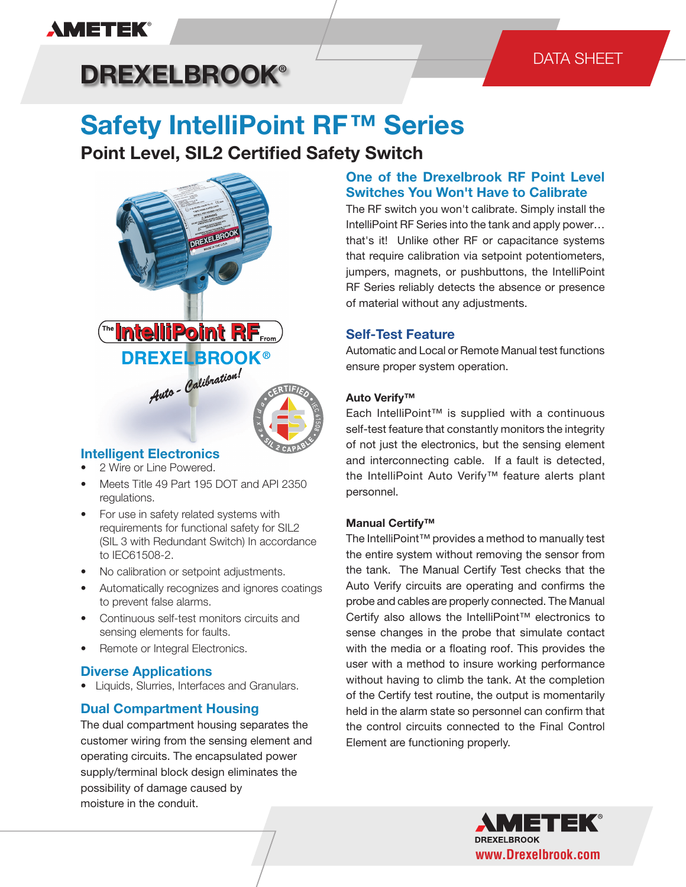# **AMETEK®**

# DATA SHEET

# **DREXELBROOK®**

# **Safety IntelliPoint RF™ Series**

# **Point Level, SIL2 Certified Safety Switch**



## **Intelligent Electronics**

- 2 Wire or Line Powered.
- Meets Title 49 Part 195 DOT and API 2350 regulations.
- For use in safety related systems with requirements for functional safety for SIL2 (SIL 3 with Redundant Switch) In accordance to IEC61508-2.
- No calibration or setpoint adjustments.
- Automatically recognizes and ignores coatings to prevent false alarms.
- Continuous self-test monitors circuits and sensing elements for faults.
- Remote or Integral Electronics.

## **Diverse Applications**

• Liquids, Slurries, Interfaces and Granulars.

## **Dual Compartment Housing**

The dual compartment housing separates the customer wiring from the sensing element and operating circuits. The encapsulated power supply/terminal block design eliminates the possibility of damage caused by moisture in the conduit.

## **One of the Drexelbrook RF Point Level Switches You Won't Have to Calibrate**

The RF switch you won't calibrate. Simply install the IntelliPoint RF Series into the tank and apply power… that's it! Unlike other RF or capacitance systems that require calibration via setpoint potentiometers, jumpers, magnets, or pushbuttons, the IntelliPoint RF Series reliably detects the absence or presence of material without any adjustments.

## **Self-Test Feature**

Automatic and Local or Remote Manual test functions ensure proper system operation.

### **Auto Verify™**

Each IntelliPoint™ is supplied with a continuous self-test feature that constantly monitors the integrity of not just the electronics, but the sensing element and interconnecting cable. If a fault is detected, the IntelliPoint Auto Verify™ feature alerts plant personnel.

### **Manual Certify™**

The IntelliPoint™ provides a method to manually test the entire system without removing the sensor from the tank. The Manual Certify Test checks that the Auto Verify circuits are operating and confirms the probe and cables are properly connected. The Manual Certify also allows the IntelliPoint™ electronics to sense changes in the probe that simulate contact with the media or a floating roof. This provides the user with a method to insure working performance without having to climb the tank. At the completion of the Certify test routine, the output is momentarily held in the alarm state so personnel can confirm that the control circuits connected to the Final Control Element are functioning properly.

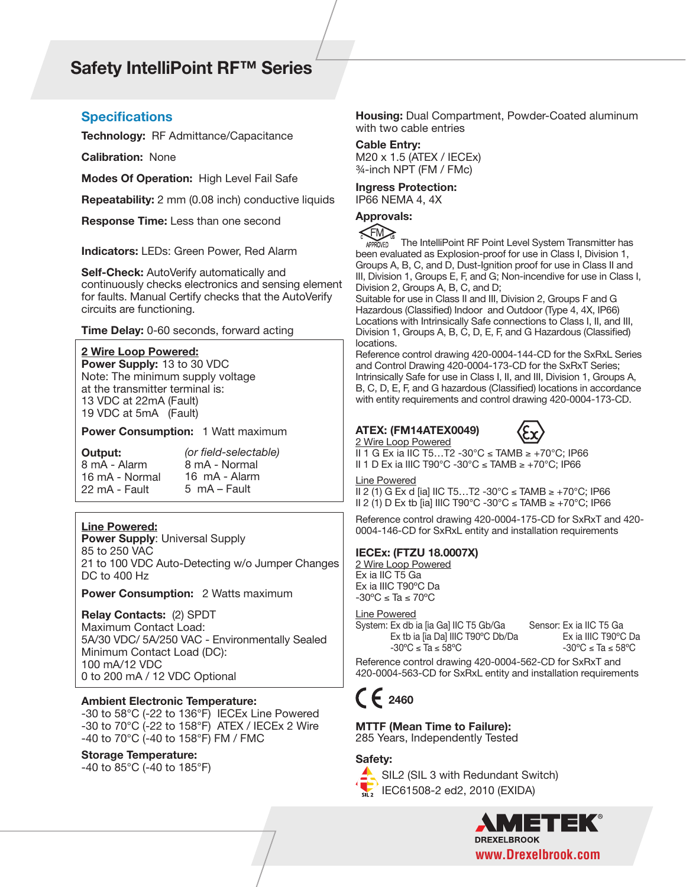# **Safety IntelliPoint RF™ Series**

#### **Specifications**

**Technology:** RF Admittance/Capacitance

**Calibration:** None

**Modes Of Operation:** High Level Fail Safe

**Repeatability:** 2 mm (0.08 inch) conductive liquids

**Response Time:** Less than one second

**Indicators:** LEDs: Green Power, Red Alarm

**Self-Check:** AutoVerify automatically and continuously checks electronics and sensing element for faults. Manual Certify checks that the AutoVerify circuits are functioning.

**Time Delay:** 0-60 seconds, forward acting

#### **2 Wire Loop Powered:**

**Power Supply:** 13 to 30 VDC Note: The minimum supply voltage at the transmitter terminal is: 13 VDC at 22mA (Fault) 19 VDC at 5mA (Fault)

**Power Consumption:** 1 Watt maximum

**Output:** 8 mA - Alarm 16 mA - Normal 22 mA - Fault *(or field-selectable)* 8 mA - Normal 16 mA - Alarm 5 mA – Fault

**Line Powered: Power Supply**: Universal Supply 85 to 250 VAC 21 to 100 VDC Auto-Detecting w/o Jumper Changes

DC to 400 Hz

**Power Consumption: 2 Watts maximum** 

**Relay Contacts:** (2) SPDT Maximum Contact Load: 5A/30 VDC/ 5A/250 VAC - Environmentally Sealed Minimum Contact Load (DC): 100 mA/12 VDC 0 to 200 mA / 12 VDC Optional

**Ambient Electronic Temperature:**

-30 to 58°C (-22 to 136°F) IECEx Line Powered -30 to 70°C (-22 to 158°F) ATEX / IECEx 2 Wire -40 to 70°C (-40 to 158°F) FM / FMC

**Storage Temperature:**

-40 to 85°C (-40 to 185°F)

**Housing:** Dual Compartment, Powder-Coated aluminum with two cable entries

#### **Cable Entry:**

M20 x 1.5 (ATEX / IECEx) ¾-inch NPT (FM / FMc)

#### **Ingress Protection:** IP66 NEMA 4, 4X

#### **Approvals:**



The IntelliPoint RF Point Level System Transmitter has OVED been evaluated as Explosion-proof for use in Class I, Division 1, Groups A, B, C, and D, Dust-Ignition proof for use in Class II and III, Division 1, Groups E, F, and G; Non-incendive for use in Class I, Division 2, Groups A, B, C, and D;

Suitable for use in Class II and III, Division 2, Groups F and G Hazardous (Classified) Indoor and Outdoor (Type 4, 4X, IP66) Locations with Intrinsically Safe connections to Class I, II, and III, Division 1, Groups A, B, C, D, E, F, and G Hazardous (Classified) locations.

Reference control drawing 420-0004-144-CD for the SxRxL Series and Control Drawing 420-0004-173-CD for the SxRxT Series; Intrinsically Safe for use in Class I, II, and III, Division 1, Groups A, B, C, D, E, F, and G hazardous (Classified) locations in accordance with entity requirements and control drawing 420-0004-173-CD.

#### **ATEX: (FM14ATEX0049)**



2 Wire Loop Powered II 1 G Ex ia IIC T5…T2 -30°C ≤ TAMB ≥ +70°C; IP66 II 1 D Ex ia IIIC T90°C -30°C ≤ TAMB ≥ +70°C; IP66

Line Powered

II 2 (1) G Ex d [ia] IIC T5…T2 -30°C ≤ TAMB ≥ +70°C; IP66 II 2 (1) D Ex tb [ia] IIIC T90°C -30°C ≤ TAMB ≥ +70°C; IP66

Reference control drawing 420-0004-175-CD for SxRxT and 420- 0004-146-CD for SxRxL entity and installation requirements

#### **IECEx: (FTZU 18.0007X)**

2 Wire Loop Powered Ex ia IIC T5 Ga Ex ia IIIC T90ºC Da  $-30^{\circ}$ C ≤ Ta ≤ 70 $^{\circ}$ C

Line Powered

System: Ex db ia [ia Ga] IIC T5 Gb/Ga Ex tb ia [ia Da] IIIC T90ºC Db/Da  $-30^{\circ}$ C ≤ Ta ≤ 58°C

Sensor: Ex ia IIC T5 Ga Ex ia IIIC T90ºC Da  $-30^{\circ}$ C ≤ Ta ≤ 58°C

Reference control drawing 420-0004-562-CD for SxRxT and 420-0004-563-CD for SxRxL entity and installation requirements

# **2460**

**MTTF (Mean Time to Failure):**  285 Years, Independently Tested

#### **Safety:**



SIL2 (SIL 3 with Redundant Switch) IEC61508-2 ed2, 2010 (EXIDA)

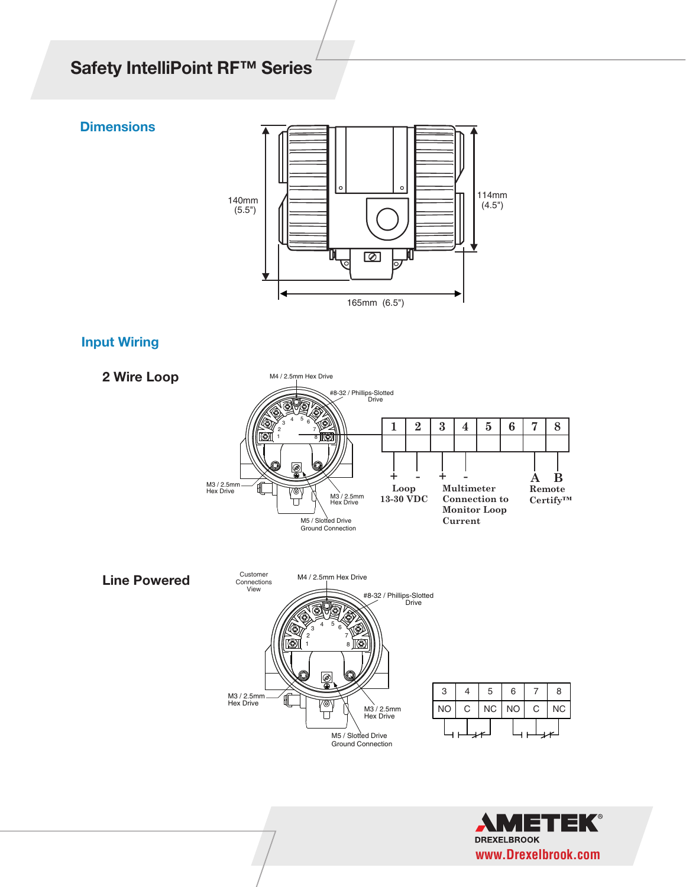# **Safety IntelliPoint RF™ Series**



 $\frac{1}{2}$  with Redundant Switchester (Sil 3 with Redundant Switch)  $\frac{1}{2}$ 

FMEDA Tested for conformity by Exida.com®

## **Input Wiring**

**Dimensions**

**Wiring Dimensions**



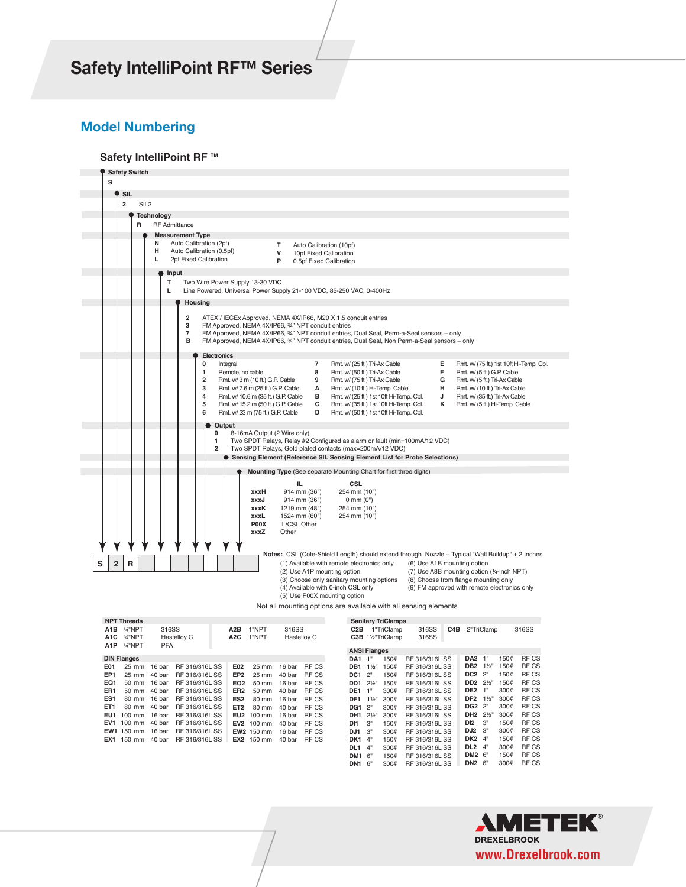# $\blacksquare$ *Safety IntelliPoint RF™ Series* SIL2 DATASHEET DATASHEET DATASHEET DATASHEET DATASHEET DATASHEET DATASHEET DATASHEET DATASHEET DATASHEET DATAS<br>Silaa dadka waxaa ah dhamaan dadka waxaa ah dhamaan dadka waxaa ah dhamaan dadka waxaa ah dhamaan dadka waxaa

### **Model Numbering**

#### **Safety IntelliPoint RF** ™



Not all mounting options are available with all sensing elements

|                  | <b>NPT Threads</b>   |            |                |                  |                   |        |              |                     |                  | <b>Sanitary TriClamps</b> |                |     |                 |                |      |              |
|------------------|----------------------|------------|----------------|------------------|-------------------|--------|--------------|---------------------|------------------|---------------------------|----------------|-----|-----------------|----------------|------|--------------|
| A <sub>1</sub> B | 3/4"NPT              | 316SS      |                | A2B              | 1"NPT             | 316SS  |              | C <sub>2</sub> B    |                  | 1"TriClamp                | 316SS          | C4B |                 | 2"TriClamp     |      | 316SS        |
| A <sub>1</sub> C | 3/ <sub>4</sub> "NPT |            | Hastelloy C    | A <sub>2</sub> C | 1"NPT             |        | Hastelloy C  |                     |                  | C3B 11/2"TriClamp         | 316SS          |     |                 |                |      |              |
| A <sub>1</sub> P | 3/ <sub>4</sub> "NPT | <b>PFA</b> |                |                  |                   |        |              |                     |                  |                           |                |     |                 |                |      |              |
|                  |                      |            |                |                  |                   |        |              | <b>ANSI Flanges</b> |                  |                           |                |     |                 |                |      |              |
|                  | <b>DIN Flanges</b>   |            |                |                  |                   |        |              | DA1                 | 1"               | 150#                      | RF 316/316L SS |     | DA2             | 1"             | 150# | <b>RFCS</b>  |
| E01              | 25 mm                | 16 bar     | RF 316/316L SS | E02              | 25 mm             | 16 bar | RF CS        | DB <sub>1</sub>     | $1\frac{1}{2}$   | 150#                      | RF 316/316L SS |     | DB <sub>2</sub> | $1\frac{1}{2}$ | 150# | <b>RFCS</b>  |
| EP <sub>1</sub>  | 25 mm                | 40 bar     | RF 316/316L SS | EP <sub>2</sub>  | 25 mm             | 40 bar | RF CS        | DC <sub>1</sub>     | 2"               | 150#                      | RF 316/316L SS |     | DC <sub>2</sub> | 2"             | 150# | <b>RFCS</b>  |
| EQ1              | 50 mm                | 16 bar     | RF 316/316L SS | EQ <sub>2</sub>  | 50 mm             | 16 bar | RF CS        | DD <sub>1</sub>     | $2\frac{1}{2}$ " | 150#                      | RF 316/316L SS |     | DD <sub>2</sub> | $2\frac{1}{2}$ | 150# | <b>RFCS</b>  |
| ER <sub>1</sub>  | 50 mm                | 40 bar     | RF 316/316L SS | ER <sub>2</sub>  | 50 mm             | 40 bar | RF CS        | DE1                 | 1"               | 300#                      | RF 316/316L SS |     | DE <sub>2</sub> | 1"             | 300# | <b>RF CS</b> |
| ES <sub>1</sub>  | 80 mm                | 16 bar     | RF 316/316L SS | ES <sub>2</sub>  | 80 mm             | 16 bar | RF CS        | DF <sub>1</sub>     | $1\frac{1}{2}$   | 300#                      | RF 316/316L SS |     | DF <sub>2</sub> | $1\frac{1}{2}$ | 300# | <b>RF CS</b> |
| ET <sub>1</sub>  | 80 mm                | 40 bar     | RF 316/316L SS | ET <sub>2</sub>  | 80 mm             | 40 bar | RF CS        | DG <sub>1</sub>     | 2"               | 300#                      | RF 316/316L SS |     | DG2             | 2"             | 300# | <b>RF CS</b> |
| EU1              | $100$ mm             | 16 bar     | RF 316/316L SS | EU <sub>2</sub>  | $100 \text{ mm}$  | 16 bar | RF CS        | DH <sub>1</sub>     | $2\frac{1}{5}$   | 300#                      | RF 316/316L SS |     | DH <sub>2</sub> | $2\frac{1}{2}$ | 300# | <b>RF CS</b> |
| EV <sub>1</sub>  | $100$ mm             | 40 bar     | RF 316/316L SS | EV <sub>2</sub>  | 100 mm            | 40 bar | RF CS        | DI1                 | 3"               | 150#                      | RF 316/316L SS |     | DI <sub>2</sub> | 3"             | 150# | <b>RF CS</b> |
|                  | EW1 150 mm           | 16 bar     | RF 316/316L SS |                  | EW2 150 mm        | 16 bar | RF CS        | DJ1                 | 3"               | 300#                      | RF 316/316L SS |     | DJ <sub>2</sub> | 3"             | 300# | <b>RF CS</b> |
| EX <sub>1</sub>  | 150 mm               | 40 bar     | RF 316/316L SS |                  | <b>EX2</b> 150 mm | 40 bar | <b>RF CS</b> | DK1                 | 4"               | 150#                      | RF 316/316L SS |     | DK <sub>2</sub> | 4"             | 150# | <b>RF CS</b> |
|                  |                      |            |                |                  |                   |        |              | DL <sub>1</sub>     | 4"               | 300#                      | RF 316/316L SS |     | DL <sub>2</sub> | 4"             | 300# | <b>RF CS</b> |
|                  |                      |            |                |                  |                   |        |              | DM1                 | ് 6"             | 150#                      | RF 316/316L SS |     | DM2 6"          |                | 150# | RF CS        |
|                  |                      |            |                |                  |                   |        |              | DN <sub>1</sub>     | 6"               | 300#                      | RF 316/316L SS |     | DN <sub>2</sub> | 6"             | 300# | <b>RF CS</b> |
|                  |                      |            |                |                  |                   |        |              |                     |                  |                           |                |     |                 |                |      |              |